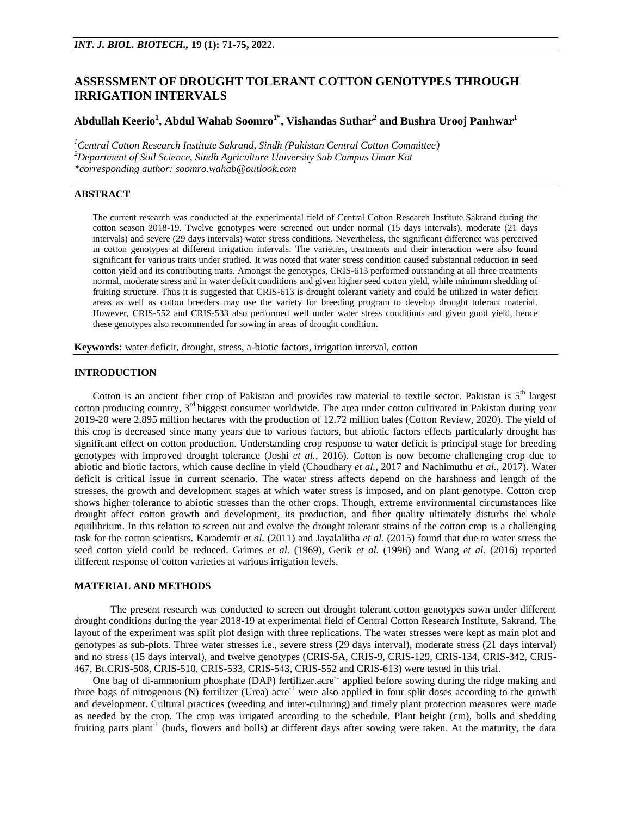# **ASSESSMENT OF DROUGHT TOLERANT COTTON GENOTYPES THROUGH IRRIGATION INTERVALS**

## **Abdullah Keerio<sup>1</sup> , Abdul Wahab Soomro1\* , Vishandas Suthar<sup>2</sup> and Bushra Urooj Panhwar<sup>1</sup>**

*<sup>1</sup>Central Cotton Research Institute Sakrand, Sindh (Pakistan Central Cotton Committee) <sup>2</sup>Department of Soil Science, Sindh Agriculture University Sub Campus Umar Kot \*corresponding author: [soomro.wahab@outlook.com](mailto:soomro.wahab@outlook.com)*

## **ABSTRACT**

The current research was conducted at the experimental field of Central Cotton Research Institute Sakrand during the cotton season 2018-19. Twelve genotypes were screened out under normal (15 days intervals), moderate (21 days intervals) and severe (29 days intervals) water stress conditions. Nevertheless, the significant difference was perceived in cotton genotypes at different irrigation intervals. The varieties, treatments and their interaction were also found significant for various traits under studied. It was noted that water stress condition caused substantial reduction in seed cotton yield and its contributing traits. Amongst the genotypes, CRIS-613 performed outstanding at all three treatments normal, moderate stress and in water deficit conditions and given higher seed cotton yield, while minimum shedding of fruiting structure. Thus it is suggested that CRIS-613 is drought tolerant variety and could be utilized in water deficit areas as well as cotton breeders may use the variety for breeding program to develop drought tolerant material. However, CRIS-552 and CRIS-533 also performed well under water stress conditions and given good yield, hence these genotypes also recommended for sowing in areas of drought condition.

**Keywords:** water deficit, drought, stress, a-biotic factors, irrigation interval, cotton

#### **INTRODUCTION**

Cotton is an ancient fiber crop of Pakistan and provides raw material to textile sector. Pakistan is  $5<sup>th</sup>$  largest cotton producing country, 3<sup>rd</sup> biggest consumer worldwide. The area under cotton cultivated in Pakistan during year 2019-20 were 2.895 million hectares with the production of 12.72 million bales (Cotton Review, 2020). The yield of this crop is decreased since many years due to various factors, but abiotic factors effects particularly drought has significant effect on cotton production. Understanding crop response to water deficit is principal stage for breeding genotypes with improved drought tolerance (Joshi *et al.,* 2016). Cotton is now become challenging crop due to abiotic and biotic factors, which cause decline in yield (Choudhary *et al.,* 2017 and Nachimuthu *et al.,* 2017). Water deficit is critical issue in current scenario. The water stress affects depend on the harshness and length of the stresses, the growth and development stages at which water stress is imposed, and on plant genotype. Cotton crop shows higher tolerance to abiotic stresses than the other crops. Though, extreme environmental circumstances like drought affect cotton growth and development, its production, and fiber quality ultimately disturbs the whole equilibrium. In this relation to screen out and evolve the drought tolerant strains of the cotton crop is a challenging task for the cotton scientists. Karademir *et al.* (2011) and Jayalalitha *et al.* (2015) found that due to water stress the seed cotton yield could be reduced. Grimes *et al.* (1969), Gerik *et al.* (1996) and Wang *et al.* (2016) reported different response of cotton varieties at various irrigation levels.

## **MATERIAL AND METHODS**

The present research was conducted to screen out drought tolerant cotton genotypes sown under different drought conditions during the year 2018-19 at experimental field of Central Cotton Research Institute, Sakrand. The layout of the experiment was split plot design with three replications. The water stresses were kept as main plot and genotypes as sub-plots. Three water stresses i.e., severe stress (29 days interval), moderate stress (21 days interval) and no stress (15 days interval), and twelve genotypes (CRIS-5A, CRIS-9, CRIS-129, CRIS-134, CRIS-342, CRIS-467, Bt.CRIS-508, CRIS-510, CRIS-533, CRIS-543, CRIS-552 and CRIS-613) were tested in this trial.

One bag of di-ammonium phosphate (DAP) fertilizer.acre<sup>-1</sup> applied before sowing during the ridge making and three bags of nitrogenous (N) fertilizer (Urea) acre<sup>-1</sup> were also applied in four split doses according to the growth and development. Cultural practices (weeding and inter-culturing) and timely plant protection measures were made as needed by the crop. The crop was irrigated according to the schedule. Plant height (cm), bolls and shedding fruiting parts plant<sup>-1</sup> (buds, flowers and bolls) at different days after sowing were taken. At the maturity, the data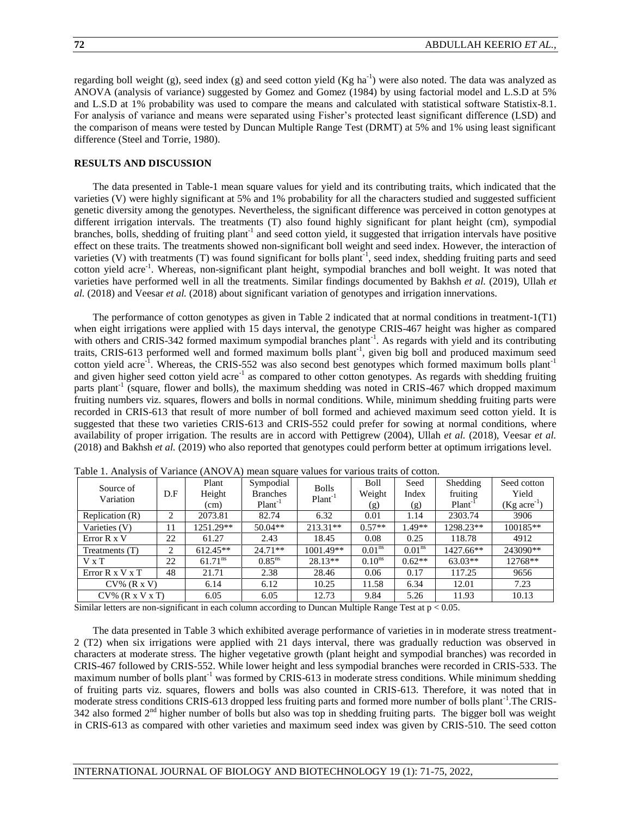regarding boll weight (g), seed index (g) and seed cotton yield (Kg ha<sup>-1</sup>) were also noted. The data was analyzed as ANOVA (analysis of variance) suggested by Gomez and Gomez (1984) by using factorial model and L.S.D at 5% and L.S.D at 1% probability was used to compare the means and calculated with statistical software Statistix-8.1. For analysis of variance and means were separated using Fisher's protected least significant difference (LSD) and the comparison of means were tested by Duncan Multiple Range Test (DRMT) at 5% and 1% using least significant difference (Steel and Torrie, 1980).

## **RESULTS AND DISCUSSION**

The data presented in Table-1 mean square values for yield and its contributing traits, which indicated that the varieties (V) were highly significant at 5% and 1% probability for all the characters studied and suggested sufficient genetic diversity among the genotypes. Nevertheless, the significant difference was perceived in cotton genotypes at different irrigation intervals. The treatments (T) also found highly significant for plant height (cm), sympodial branches, bolls, shedding of fruiting plant<sup>-1</sup> and seed cotton yield, it suggested that irrigation intervals have positive effect on these traits. The treatments showed non-significant boll weight and seed index. However, the interaction of varieties (V) with treatments (T) was found significant for bolls plant<sup>-1</sup>, seed index, shedding fruiting parts and seed cotton yield acre<sup>-1</sup>. Whereas, non-significant plant height, sympodial branches and boll weight. It was noted that varieties have performed well in all the treatments. Similar findings documented by Bakhsh *et al.* (2019), Ullah *et al.* (2018) and Veesar *et al.* (2018) about significant variation of genotypes and irrigation innervations.

The performance of cotton genotypes as given in Table 2 indicated that at normal conditions in treatment-1(T1) when eight irrigations were applied with 15 days interval, the genotype CRIS-467 height was higher as compared with others and CRIS-342 formed maximum sympodial branches plant<sup>-1</sup>. As regards with yield and its contributing traits, CRIS-613 performed well and formed maximum bolls plant<sup>-1</sup>, given big boll and produced maximum seed cotton yield acre<sup>-1</sup>. Whereas, the CRIS-552 was also second best genotypes which formed maximum bolls plant<sup>-1</sup> and given higher seed cotton yield acre<sup>-1</sup> as compared to other cotton genotypes. As regards with shedding fruiting parts plant<sup>-1</sup> (square, flower and bolls), the maximum shedding was noted in CRIS-467 which dropped maximum fruiting numbers viz. squares, flowers and bolls in normal conditions. While, minimum shedding fruiting parts were recorded in CRIS-613 that result of more number of boll formed and achieved maximum seed cotton yield. It is suggested that these two varieties CRIS-613 and CRIS-552 could prefer for sowing at normal conditions, where availability of proper irrigation. The results are in accord with Pettigrew (2004), Ullah *et al.* (2018), Veesar *et al.* (2018) and Bakhsh *et al.* (2019) who also reported that genotypes could perform better at optimum irrigations level.

| Source of<br>Variation         | D.F           | Plant<br>Height<br>(cm) | Sympodial<br><b>Branches</b><br>$Plant-1$ | <b>Bolls</b><br>$Plant-1$ | Boll<br>Weight<br>(g) | Seed<br>Index<br>(g) | Shedding<br>fruiting<br>Plant <sup>-1</sup> | Seed cotton<br>Yield<br>$(Kg \, \text{acre}^{-1})$ |
|--------------------------------|---------------|-------------------------|-------------------------------------------|---------------------------|-----------------------|----------------------|---------------------------------------------|----------------------------------------------------|
| Replication (R)                | 2             | 2073.81                 | 82.74                                     | 6.32                      | 0.01                  | 1.14                 | 2303.74                                     | 3906                                               |
| Varieties (V)                  | 11            | 1251.29**               | $50.04**$                                 | $213.31**$                | $0.57**$              | $1.49**$             | 1298.23**                                   | 100185**                                           |
| Error R x V                    | 22            | 61.27                   | 2.43                                      | 18.45                     | 0.08                  | 0.25                 | 118.78                                      | 4912                                               |
| Treatments (T)                 | $\mathcal{L}$ | $612.45**$              | $24.71**$                                 | $1001.49**$               | 0.01 <sup>ns</sup>    | 0.01 <sup>ns</sup>   | 1427.66**                                   | 243090**                                           |
| $V \times T$                   | 22            | $61.71^{ns}$            | $0.85^{ns}$                               | $28.13**$                 | 0.10 <sup>ns</sup>    | $0.62**$             | $63.03**$                                   | 12768**                                            |
| Error $R \times V \times T$    | 48            | 21.71                   | 2.38                                      | 28.46                     | 0.06                  | 0.17                 | 117.25                                      | 9656                                               |
| $CV\%$ $(R \times V)$          |               | 6.14                    | 6.12                                      | 10.25                     | 11.58                 | 6.34                 | 12.01                                       | 7.23                                               |
| $CV\%$ $(R \times V \times T)$ |               | 6.05                    | 6.05                                      | 12.73                     | 9.84                  | 5.26                 | 11.93                                       | 10.13                                              |

Table 1. Analysis of Variance (ANOVA) mean square values for various traits of cotton.

Similar letters are non-significant in each column according to Duncan Multiple Range Test at p < 0.05.

The data presented in Table 3 which exhibited average performance of varieties in in moderate stress treatment-2 (T2) when six irrigations were applied with 21 days interval, there was gradually reduction was observed in characters at moderate stress. The higher vegetative growth (plant height and sympodial branches) was recorded in CRIS-467 followed by CRIS-552. While lower height and less sympodial branches were recorded in CRIS-533. The maximum number of bolls plant<sup>-1</sup> was formed by CRIS-613 in moderate stress conditions. While minimum shedding of fruiting parts viz. squares, flowers and bolls was also counted in CRIS-613. Therefore, it was noted that in moderate stress conditions CRIS-613 dropped less fruiting parts and formed more number of bolls plant<sup>-1</sup>. The CRIS-342 also formed 2<sup>nd</sup> higher number of bolls but also was top in shedding fruiting parts. The bigger boll was weight in CRIS-613 as compared with other varieties and maximum seed index was given by CRIS-510. The seed cotton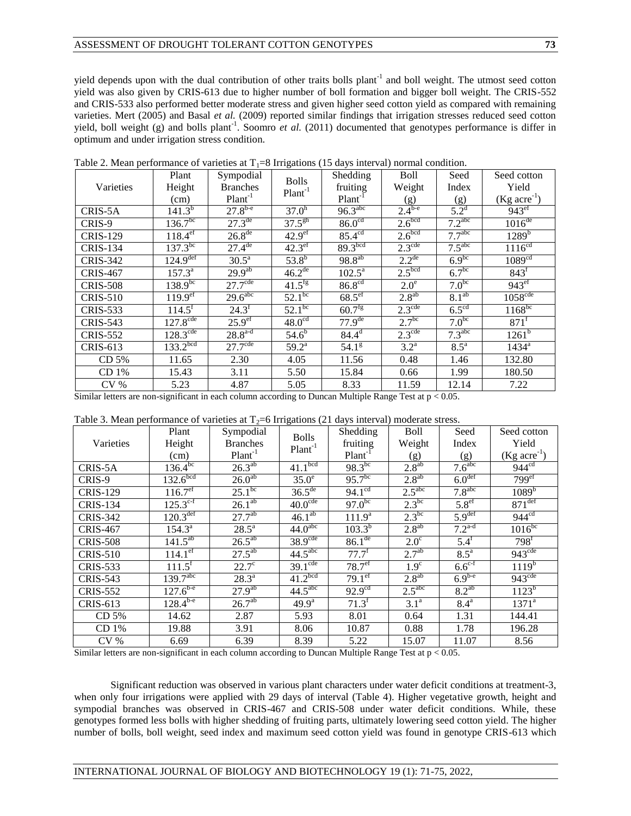yield depends upon with the dual contribution of other traits bolls plant<sup>-1</sup> and boll weight. The utmost seed cotton yield was also given by CRIS-613 due to higher number of boll formation and bigger boll weight. The CRIS-552 and CRIS-533 also performed better moderate stress and given higher seed cotton yield as compared with remaining varieties. Mert (2005) and Basal *et al.* (2009) reported similar findings that irrigation stresses reduced seed cotton yield, boll weight (g) and bolls plant<sup>-1</sup>. Soomro *et al.* (2011) documented that genotypes performance is differ in optimum and under irrigation stress condition.

|                  | Plant                    | Sympodial             | <b>Bolls</b>           | Shedding             | <b>Boll</b>            | Seed               | Seed cotton                |
|------------------|--------------------------|-----------------------|------------------------|----------------------|------------------------|--------------------|----------------------------|
| Varieties        | Height                   | <b>Branches</b>       | $Plant-1$              | fruiting             | Weight                 | Index              | Yield                      |
|                  | (cm)                     | $Plant-1$             |                        | $Plant-1$            | (g)                    | (g)                | $(Kg \, \text{acre}^{-1})$ |
| CRIS-5A          | $141.3^{b}$              | $27.8^{b-e}$          | 37.0 <sup>h</sup>      | $96.3^{\text{abc}}$  | $2.4^{\overline{b-e}}$ | $5.2^{\rm d}$      | 943 <sup>ef</sup>          |
| CRIS-9           | $136.\overline{7^{bc}}$  | $27.3^{\text{de}}$    | $37.5^{gh}$            | 86.0 <sup>cd</sup>   | 2.6 <sup>bcd</sup>     | 7.2 <sup>abc</sup> | $1016$ <sup>de</sup>       |
| <b>CRIS-129</b>  | $118.4^{\text{eff}}$     | $26.8^{\text{de}}$    | 42.9 <sup>ef</sup>     | $85.4^{\text{cd}}$   | 2.6 <sup>bcd</sup>     | 7.7 <sup>abc</sup> | $1289^{b}$                 |
| <b>CRIS-134</b>  | $137.3^{bc}$             | $27.4^{\text{de}}$    | $42.3$ <sup>ef</sup>   | 89.3 <sup>bcd</sup>  | $2.3^{\text{cde}}$     | 7.5 <sup>abc</sup> | 1116 <sup>cd</sup>         |
| <b>CRIS-342</b>  | 124.9 <sup>def</sup>     | $30.5^{\overline{a}}$ | $53.8^{b}$             | $98.8^{ab}$          | $2.2^{de}$             | $6.9^{bc}$         | 1089 <sup>cd</sup>         |
| <b>CRIS-467</b>  | $157.3^{\overline{a}}$   | $29.9^{ab}$           | 46.2 <sup>de</sup>     | $102.5^{\text{a}}$   | 2.5 <sup>bcd</sup>     | 6.7 <sup>bc</sup>  | 843 <sup>f</sup>           |
| <b>CRIS-508</b>  | $138.9^{bc}$             | $27.7^{\text{cde}}$   | $41.5^{fg}$            | 86.8 <sup>cd</sup>   | $2.0^e$                | $7.0^{bc}$         | 943 <sup>ef</sup>          |
| <b>CRIS-510</b>  | $119.9^{\text{eff}}$     | $29.6$ <sup>abc</sup> | $52.1^{bc}$            | $68.5$ <sup>ef</sup> | $2.8^{ab}$             | $8.1^{ab}$         | $1058^{\text{cde}}$        |
| <b>CRIS-533</b>  | $114.5$ <sup>f</sup>     | $24.3^f$              | $52.\overline{1^{bc}}$ | $60.7^{\frac{1}{9}}$ | $2.3^{\text{cde}}$     | $6.5^{\text{cd}}$  | $1168^{bc}$                |
| <b>CRIS-543</b>  | $127.8^{\overline{cde}}$ | 25.9 <sup>ef</sup>    | $48.0^{\overline{cd}}$ | $77.9^{de}$          | 2.7 <sup>bc</sup>      | $7.0^{bc}$         | $871^{\mathrm{f}}$         |
| <b>CRIS-552</b>  | $128.\overline{3^{cde}}$ | $28.8^{a-d}$          | $54.6^{b}$             | $84.4^d$             | $2.3^{\text{cde}}$     | 7.3 <sup>abc</sup> | $1261^b$                   |
| CRIS-613         | 133.2 <sup>bcd</sup>     | $27.7^{\text{cde}}$   | $59.2^{\rm a}$         | 54.1 <sup>g</sup>    | $3.2^{\mathrm{a}}$     | $8.5^{\mathrm{a}}$ | $1434^a$                   |
| CD 5%            | 11.65                    | 2.30                  | 4.05                   | 11.56                | 0.48                   | 1.46               | 132.80                     |
| CD <sub>1%</sub> | 15.43                    | 3.11                  | 5.50                   | 15.84                | 0.66                   | 1.99               | 180.50                     |
| CV <sub>0</sub>  | 5.23                     | 4.87                  | 5.05                   | 8.33                 | 11.59                  | 12.14              | 7.22                       |

Table 2. Mean performance of varieties at  $T_1=8$  Irrigations (15 days interval) normal condition.

Similar letters are non-significant in each column according to Duncan Multiple Range Test at p < 0.05.

|  |  | Table 3. Mean performance of varieties at $T_2=6$ Irrigations (21 days interval) moderate stress. |  |  |  |  |  |  |  |  |
|--|--|---------------------------------------------------------------------------------------------------|--|--|--|--|--|--|--|--|
|--|--|---------------------------------------------------------------------------------------------------|--|--|--|--|--|--|--|--|

|                  | Plant                    | Sympodial           |                           | Shedding           | Boll               | Seed               | Seed cotton                |
|------------------|--------------------------|---------------------|---------------------------|--------------------|--------------------|--------------------|----------------------------|
| Varieties        | Height                   | <b>Branches</b>     | <b>Bolls</b><br>$Plant-1$ | fruiting           | Weight             | Index              | Yield                      |
|                  | (cm)                     | $Plant-1$           |                           | $Plant-1$          | (g)                | (g)                | $(Kg \, \text{acre}^{-1})$ |
| CRIS-5A          | $136.4^{bc}$             | $26.3^{ab}$         | 41.1 <sup>bcd</sup>       | $98.3^{bc}$        | $2.8^{ab}$         | 7.6 <sup>abc</sup> | $944^{cd}$                 |
| CRIS-9           | 132.6 <sup>bcd</sup>     | $26.0^{ab}$         | $35.0^\circ$              | $95.7^{bc}$        | $2.8^{ab}$         | 6.0 <sup>def</sup> | 799 <sup>ef</sup>          |
| <b>CRIS-129</b>  | $116.7^{\text{ef}}$      | $25.1^{bc}$         | $36.5^{\text{de}}$        | $94.1^{\text{cd}}$ | 2.5 <sup>abc</sup> | 7.8 <sup>abc</sup> | $1089^{b}$                 |
| <b>CRIS-134</b>  | $125.3^{\circ f}$        | $26.1^{ab}$         | 40.0 <sup>cde</sup>       | $97.0^{bc}$        | $2.3^{bc}$         | 5.8 <sup>ef</sup>  | $871$ <sup>def</sup>       |
| <b>CRIS-342</b>  | $120.3^{\text{def}}$     | $27.7^{ab}$         | $46.1^{ab}$               | 111.9 <sup>a</sup> | $2.3^{bc}$         | 5.9 <sup>def</sup> | 944 <sup>cd</sup>          |
| <b>CRIS-467</b>  | $154.3^{\overline{a}}$   | $28.\overline{5^a}$ | $44.0^{\text{abc}}$       | $103.3^{b}$        | $2.8^{ab}$         | $7.2^{a-d}$        | $1016^{bc}$                |
| <b>CRIS-508</b>  | $141.5^{ab}$             | $26.5^{ab}$         | 38.9 <sup>cde</sup>       | $86.1^{\text{de}}$ | $2.0^\circ$        | 5.4 <sup>f</sup>   | 798 <sup>f</sup>           |
| <b>CRIS-510</b>  | $114.1^{\overline{ef}}$  | $27.5^{ab}$         | 44.5 <sup>abc</sup>       | $77.7^f$           | 2.7 <sup>ab</sup>  | $8.5^{\circ}$      | 943 <sup>cde</sup>         |
| <b>CRIS-533</b>  | $111.\overline{5}^{f}$   | $22.7^{\circ}$      | $39.1^{\text{cde}}$       | 78.7 <sup>ef</sup> | 1.9 <sup>c</sup>   | $6.6^{\text{c-f}}$ | $1119^{b}$                 |
| <b>CRIS-543</b>  | 139.7 <sup>abc</sup>     | $28.3^a$            | 41.2 <sup>bcd</sup>       | 79.1 <sup>ef</sup> | $2.8^{ab}$         | $6.9^{b-e}$        | 943 <sup>cde</sup>         |
| <b>CRIS-552</b>  | $127.6^{b-e}$            | $27.9^{ab}$         | 44.5 <sup>abc</sup>       | 92.9 <sup>cd</sup> | 2.5 <sup>abc</sup> | $8.2^{ab}$         | $1123^b$                   |
| CRIS-613         | $128.\overline{4^{b-e}}$ | 26.7 <sup>ab</sup>  | $49.9^{\rm a}$            | $71.3^f$           | 3.1 <sup>a</sup>   | $8.4^{\mathrm{a}}$ | $1371^{\rm a}$             |
| CD 5%            | 14.62                    | 2.87                | 5.93                      | 8.01               | 0.64               | 1.31               | 144.41                     |
| CD <sub>1%</sub> | 19.88                    | 3.91                | 8.06                      | 10.87              | 0.88               | 1.78               | 196.28                     |
| CV <sub>0</sub>  | 6.69                     | 6.39                | 8.39                      | 5.22               | 15.07              | 11.07              | 8.56                       |

Similar letters are non-significant in each column according to Duncan Multiple Range Test at p < 0.05.

Significant reduction was observed in various plant characters under water deficit conditions at treatment-3, when only four irrigations were applied with 29 days of interval (Table 4). Higher vegetative growth, height and sympodial branches was observed in CRIS-467 and CRIS-508 under water deficit conditions. While, these genotypes formed less bolls with higher shedding of fruiting parts, ultimately lowering seed cotton yield. The higher number of bolls, boll weight, seed index and maximum seed cotton yield was found in genotype CRIS-613 which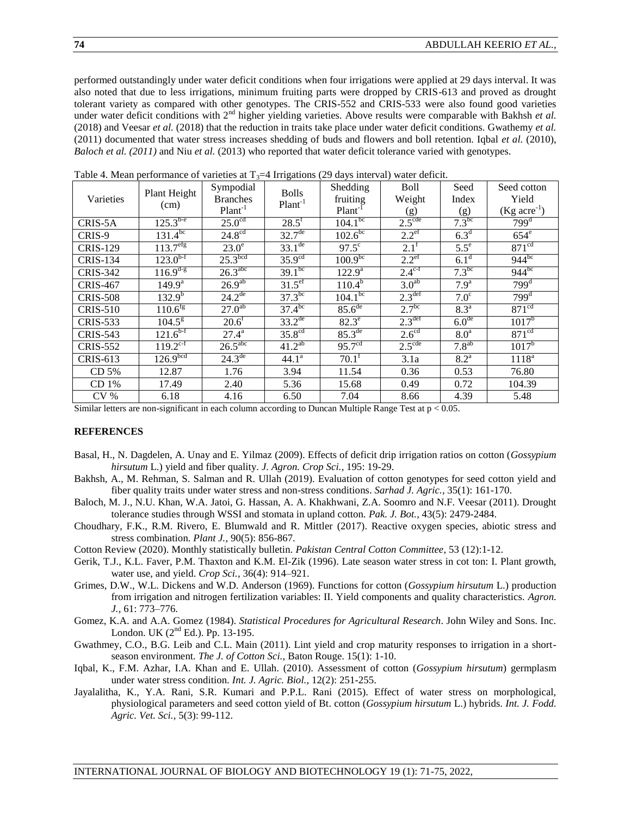performed outstandingly under water deficit conditions when four irrigations were applied at 29 days interval. It was also noted that due to less irrigations, minimum fruiting parts were dropped by CRIS-613 and proved as drought tolerant variety as compared with other genotypes. The CRIS-552 and CRIS-533 were also found good varieties under water deficit conditions with 2<sup>nd</sup> higher yielding varieties. Above results were comparable with Bakhsh *et al.* (2018) and Veesar *et al.* (2018) that the reduction in traits take place under water deficit conditions. Gwathemy *et al.* (2011) documented that water stress increases shedding of buds and flowers and boll retention. Iqbal *et al.* (2010), *Baloch et al. (2011)* and Niu *et al.* (2013) who reported that water deficit tolerance varied with genotypes.

|                  | Plant Height             | Sympodial              | <b>Bolls</b>           | Shedding               | <b>Boll</b>          | Seed               | Seed cotton                |
|------------------|--------------------------|------------------------|------------------------|------------------------|----------------------|--------------------|----------------------------|
| Varieties        | (cm)                     | <b>Branches</b>        | $Plant-1$              | fruiting               | Weight               | Index              | Yield                      |
|                  |                          | $Plant-1$              |                        | Plant <sup>-1</sup>    | (g)                  | (g)                | $(Kg \, \text{acre}^{-1})$ |
| CRIS-5A          | $125.3^{b-e}$            | $25.0^{\text{cd}}$     | $28.5^{\text{f}}$      | $104.1^{bc}$           | $2.5^{\text{cde}}$   | $7.3^{bc}$         | 799 <sup>d</sup>           |
| CRIS-9           | $131.\overline{4^{bc}}$  | 24.8 <sup>cd</sup>     | $32.7^{\text{de}}$     | $102.6^{bc}$           | $2.2^{\text{ef}}$    | 6.3 <sup>d</sup>   | $654^e$                    |
| <b>CRIS-129</b>  | $113.\overline{7}^{erg}$ | $23.0^\circ$           | $33.1^{\text{de}}$     | $97.5^\circ$           | $2.1^{\rm f}$        | $5.5^{\circ}$      | 871 <sup>cd</sup>          |
| <b>CRIS-134</b>  | $123.0^{b-f}$            | 25.3 <sup>bcd</sup>    | 35.9 <sup>cd</sup>     | $100.9^{bc}$           | $2.2^{\text{ef}}$    | 6.1 <sup>d</sup>   | $944^{bc}$                 |
| <b>CRIS-342</b>  | $116.9^{d-g}$            | $26.3^{\text{abc}}$    | $39.1^{bc}$            | $122.9^{\overline{a}}$ | $2.4^{\mathrm{c-f}}$ | $7.3^{bc}$         | $944^{bc}$                 |
| <b>CRIS-467</b>  | $149.9^a$                | 26.9 <sup>ab</sup>     | $31.5^{\text{ef}}$     | $110.4^b$              | 3.0 <sup>ab</sup>    | 7.9 <sup>a</sup>   | 799 <sup>d</sup>           |
| <b>CRIS-508</b>  | $132.\overline{9^{b}}$   | $24.\overline{2^{de}}$ | $37.3^{bc}$            | $104.1^{bc}$           | 2.3 <sup>def</sup>   | 7.0 <sup>c</sup>   | 799 <sup>d</sup>           |
| <b>CRIS-510</b>  | $110.6^{\text{fg}}$      | $27.\overline{0^{ab}}$ | $37.4^{bc}$            | 85.6 <sup>de</sup>     | 2.7 <sup>bc</sup>    | $8.3^{\circ}$      | 871 <sup>cd</sup>          |
| <b>CRIS-533</b>  | $104.5^{\rm g}$          | $20.6^{\rm f}$         | $33.2^{de}$            | $82.3^e$               | 2.3 <sup>def</sup>   | 6.0 <sup>de</sup>  | $1017^{\rm b}$             |
| <b>CRIS-543</b>  | $121.6^{b-f}$            | $27.4^{\rm a}$         | 35.8 <sup>cd</sup>     | $85.3^{\text{de}}$     | $2.6^{\text{cd}}$    | 8.0 <sup>a</sup>   | 871 <sup>cd</sup>          |
| <b>CRIS-552</b>  | $119.2^{\text{c-f}}$     | $26.5$ <sup>abc</sup>  | $41.\overline{2^{ab}}$ | 95.7 <sup>cd</sup>     | $2.5^{\text{cde}}$   | $7.8^{ab}$         | $1017^{\rm b}$             |
| <b>CRIS-613</b>  | 126.9 <sup>bcd</sup>     | $24.\overline{3^{de}}$ | 44.1 <sup>a</sup>      | $70.1^{\rm f}$         | 3.1a                 | $8.2^{\mathrm{a}}$ | $1118^a$                   |
| CD 5%            | 12.87                    | 1.76                   | 3.94                   | 11.54                  | 0.36                 | 0.53               | 76.80                      |
| CD <sub>1%</sub> | 17.49                    | 2.40                   | 5.36                   | 15.68                  | 0.49                 | 0.72               | 104.39                     |
| CV %             | 6.18                     | 4.16                   | 6.50                   | 7.04                   | 8.66                 | 4.39               | 5.48                       |

Table 4. Mean performance of varieties at  $T_3=4$  Irrigations (29 days interval) water deficit.

Similar letters are non-significant in each column according to Duncan Multiple Range Test at p < 0.05.

## **REFERENCES**

- Basal, H., N. Dagdelen, A. Unay and E. Yilmaz (2009). Effects of deficit drip irrigation ratios on cotton (*Gossypium hirsutum* L.) yield and fiber quality. *J. Agron. Crop Sci.,* 195: 19-29.
- Bakhsh, A., M. Rehman, S. Salman and R. Ullah (2019). Evaluation of cotton genotypes for seed cotton yield and fiber quality traits under water stress and non-stress conditions. *Sarhad J. Agric.,* 35(1): 161-170.
- Baloch, M. J., N.U. Khan, W.A. Jatoi, G. Hassan, A. A. Khakhwani, Z.A. Soomro and N.F. Veesar (2011). Drought tolerance studies through WSSI and stomata in upland cotton. *Pak. J. Bot.,* 43(5): 2479-2484.
- Choudhary, F.K., R.M. Rivero, E. Blumwald and R. Mittler (2017). Reactive oxygen species, abiotic stress and stress combination. *Plant J.,* 90(5): 856-867.
- Cotton Review (2020). Monthly statistically bulletin. *Pakistan Central Cotton Committee*, 53 (12):1-12.
- Gerik, T.J., K.L. Faver, P.M. Thaxton and K.M. El-Zik (1996). Late season water stress in cot ton: I. Plant growth, water use, and yield. *Crop Sci.,* 36(4): 914–921.
- Grimes, D.W., W.L. Dickens and W.D. Anderson (1969). Functions for cotton (*Gossypium hirsutum* L.) production from irrigation and nitrogen fertilization variables: II. Yield components and quality characteristics. *Agron. J.,* 61: 773–776.
- Gomez, K.A. and A.A. Gomez (1984). *Statistical Procedures for Agricultural Research*. John Wiley and Sons. Inc. London. UK  $(2^{nd}$  Ed.). Pp. 13-195.
- Gwathmey, C.O., B.G. Leib and C.L. Main (2011). Lint yield and crop maturity responses to irrigation in a shortseason environment*. The J. of Cotton Sci.,* Baton Rouge. 15(1): 1-10.
- Iqbal, K., F.M. Azhar, I.A. Khan and E. Ullah. (2010). Assessment of cotton (*Gossypium hirsutum*) germplasm under water stress condition. *Int. J. Agric. Biol.,* 12(2): 251-255.
- Jayalalitha, K., Y.A. Rani, S.R. Kumari and P.P.L. Rani (2015). Effect of water stress on morphological, physiological parameters and seed cotton yield of Bt. cotton (*Gossypium hirsutum* L.) hybrids. *Int. J. Fodd. Agric. Vet. Sci.,* 5(3): 99-112.